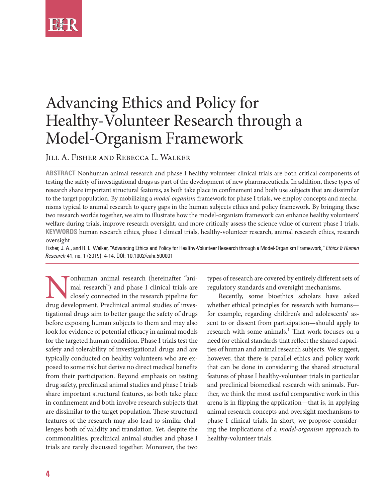

# Advancing Ethics and Policy for Healthy-Volunteer Research through a Model-Organism Framework

# Jill A. Fisher and Rebecca L. Walker

**ABSTRACT** Nonhuman animal research and phase I healthy-volunteer clinical trials are both critical components of testing the safety of investigational drugs as part of the development of new pharmaceuticals. In addition, these types of research share important structural features, as both take place in confinement and both use subjects that are dissimilar to the target population. By mobilizing a *model-organism* framework for phase I trials, we employ concepts and mechanisms typical to animal research to query gaps in the human subjects ethics and policy framework. By bringing these two research worlds together, we aim to illustrate how the model-organism framework can enhance healthy volunteers' welfare during trials, improve research oversight, and more critically assess the science value of current phase I trials. **KEYWORDS** human research ethics, phase I clinical trials, healthy-volunteer research, animal research ethics, research oversight

Fisher, J. A., and R. L. Walker, "Advancing Ethics and Policy for Healthy-Volunteer Research through a Model-Organism Framework," *Ethics & Human Research* 41, no. 1 (2019): 4-14. DOI: 10.1002/eahr.500001

**Nonhuman animal research (hereinafter "ani-**<br>mal research") and phase I clinical trials are<br>closely connected in the research pipeline for<br>drug development. Preclinical animal studies of invesmal research") and phase I clinical trials are closely connected in the research pipeline for drug development. Preclinical animal studies of investigational drugs aim to better gauge the safety of drugs before exposing human subjects to them and may also look for evidence of potential efficacy in animal models for the targeted human condition. Phase I trials test the safety and tolerability of investigational drugs and are typically conducted on healthy volunteers who are exposed to some risk but derive no direct medical benefits from their participation. Beyond emphasis on testing drug safety, preclinical animal studies and phase I trials share important structural features, as both take place in confinement and both involve research subjects that are dissimilar to the target population. These structural features of the research may also lead to similar challenges both of validity and translation. Yet, despite the commonalities, preclinical animal studies and phase I trials are rarely discussed together. Moreover, the two

types of research are covered by entirely different sets of regulatory standards and oversight mechanisms.

Recently, some bioethics scholars have asked whether ethical principles for research with humans for example, regarding children's and adolescents' assent to or dissent from participation—should apply to research with some animals.<sup>1</sup> That work focuses on a need for ethical standards that reflect the shared capacities of human and animal research subjects. We suggest, however, that there is parallel ethics and policy work that can be done in considering the shared structural features of phase I healthy-volunteer trials in particular and preclinical biomedical research with animals. Further, we think the most useful comparative work in this arena is in flipping the application—that is, in applying animal research concepts and oversight mechanisms to phase I clinical trials. In short, we propose considering the implications of a *model-organism* approach to healthy-volunteer trials.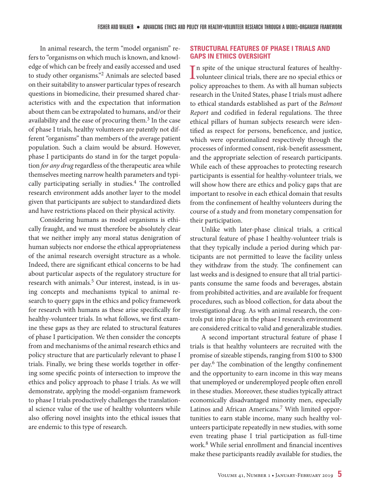In animal research, the term "model organism" refers to "organisms on which much is known, and knowledge of which can be freely and easily accessed and used to study other organisms."2 Animals are selected based on their suitability to answer particular types of research questions in biomedicine, their presumed shared characteristics with and the expectation that information about them can be extrapolated to humans, and/or their availability and the ease of procuring them.<sup>3</sup> In the case of phase I trials, healthy volunteers are patently not different "organisms" than members of the average patient population. Such a claim would be absurd. However, phase I participants do stand in for the target population *for any drug* regardless of the therapeutic area while themselves meeting narrow health parameters and typically participating serially in studies.<sup>4</sup> The controlled research environment adds another layer to the model given that participants are subject to standardized diets and have restrictions placed on their physical activity.

Considering humans as model organisms is ethically fraught, and we must therefore be absolutely clear that we neither imply any moral status denigration of human subjects nor endorse the ethical appropriateness of the animal research oversight structure as a whole. Indeed, there are significant ethical concerns to be had about particular aspects of the regulatory structure for research with animals.<sup>5</sup> Our interest, instead, is in using concepts and mechanisms typical to animal research to query gaps in the ethics and policy framework for research with humans as these arise specifically for healthy-volunteer trials. In what follows, we first examine these gaps as they are related to structural features of phase I participation. We then consider the concepts from and mechanisms of the animal research ethics and policy structure that are particularly relevant to phase I trials. Finally, we bring these worlds together in offering some specific points of intersection to improve the ethics and policy approach to phase I trials. As we will demonstrate, applying the model-organism framework to phase I trials productively challenges the translational science value of the use of healthy volunteers while also offering novel insights into the ethical issues that are endemic to this type of research.

## **STRUCTURAL FEATURES OF PHASE I TRIALS AND GAPS IN ETHICS OVERSIGHT**

In spite of the unique structural features of healthy-<br>volunteer clinical trials, there are no special ethics or In spite of the unique structural features of healthypolicy approaches to them. As with all human subjects research in the United States, phase I trials must adhere to ethical standards established as part of the *Belmont Report* and codified in federal regulations. The three ethical pillars of human subjects research were identified as respect for persons, beneficence, and justice, which were operationalized respectively through the processes of informed consent, risk-benefit assessment, and the appropriate selection of research participants. While each of these approaches to protecting research participants is essential for healthy-volunteer trials, we will show how there are ethics and policy gaps that are important to resolve in each ethical domain that results from the confinement of healthy volunteers during the course of a study and from monetary compensation for their participation.

Unlike with later-phase clinical trials, a critical structural feature of phase I healthy-volunteer trials is that they typically include a period during which participants are not permitted to leave the facility unless they withdraw from the study. The confinement can last weeks and is designed to ensure that all trial participants consume the same foods and beverages, abstain from prohibited activities, and are available for frequent procedures, such as blood collection, for data about the investigational drug. As with animal research, the controls put into place in the phase I research environment are considered critical to valid and generalizable studies.

A second important structural feature of phase I trials is that healthy volunteers are recruited with the promise of sizeable stipends, ranging from \$100 to \$300 per day.<sup>6</sup> The combination of the lengthy confinement and the opportunity to earn income in this way means that unemployed or underemployed people often enroll in these studies. Moreover, these studies typically attract economically disadvantaged minority men, especially Latinos and African Americans.<sup>7</sup> With limited opportunities to earn stable income, many such healthy volunteers participate repeatedly in new studies, with some even treating phase I trial participation as full-time work.8 While serial enrollment and financial incentives make these participants readily available for studies, the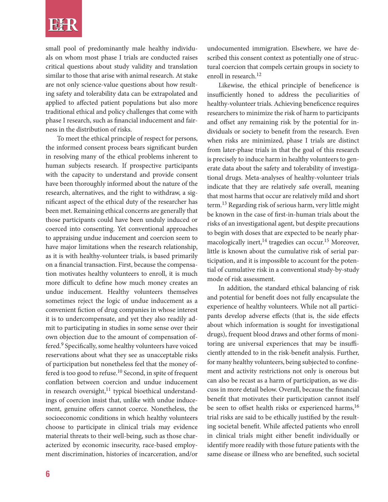

small pool of predominantly male healthy individuals on whom most phase I trials are conducted raises critical questions about study validity and translation similar to those that arise with animal research. At stake are not only science-value questions about how resulting safety and tolerability data can be extrapolated and applied to affected patient populations but also more traditional ethical and policy challenges that come with phase I research, such as financial inducement and fairness in the distribution of risks.

To meet the ethical principle of respect for persons, the informed consent process bears significant burden in resolving many of the ethical problems inherent to human subjects research. If prospective participants with the capacity to understand and provide consent have been thoroughly informed about the nature of the research, alternatives, and the right to withdraw, a significant aspect of the ethical duty of the researcher has been met. Remaining ethical concerns are generally that those participants could have been unduly induced or coerced into consenting. Yet conventional approaches to appraising undue inducement and coercion seem to have major limitations when the research relationship, as it is with healthy-volunteer trials, is based primarily on a financial transaction. First, because the compensation motivates healthy volunteers to enroll, it is much more difficult to define how much money creates an undue inducement. Healthy volunteers themselves sometimes reject the logic of undue inducement as a convenient fiction of drug companies in whose interest it is to undercompensate, and yet they also readily admit to participating in studies in some sense over their own objection due to the amount of compensation offered.<sup>9</sup> Specifically, some healthy volunteers have voiced reservations about what they see as unacceptable risks of participation but nonetheless feel that the money offered is too good to refuse.<sup>10</sup> Second, in spite of frequent conflation between coercion and undue inducement in research oversight, $11$  typical bioethical understandings of coercion insist that, unlike with undue inducement, genuine offers cannot coerce. Nonetheless, the socioeconomic conditions in which healthy volunteers choose to participate in clinical trials may evidence material threats to their well-being, such as those characterized by economic insecurity, race-based employment discrimination, histories of incarceration, and/or

undocumented immigration. Elsewhere, we have described this consent context as potentially one of structural coercion that compels certain groups in society to enroll in research.<sup>12</sup>

Likewise, the ethical principle of beneficence is insufficiently honed to address the peculiarities of healthy-volunteer trials. Achieving beneficence requires researchers to minimize the risk of harm to participants and offset any remaining risk by the potential for individuals or society to benefit from the research. Even when risks are minimized, phase I trials are distinct from later-phase trials in that the goal of this research is precisely to induce harm in healthy volunteers to generate data about the safety and tolerability of investigational drugs. Meta-analyses of healthy-volunteer trials indicate that they are relatively safe overall, meaning that most harms that occur are relatively mild and short term.13 Regarding risk of serious harm, very little might be known in the case of first-in-human trials about the risks of an investigational agent, but despite precautions to begin with doses that are expected to be nearly pharmacologically inert,<sup>14</sup> tragedies can occur.<sup>15</sup> Moreover, little is known about the cumulative risk of serial participation, and it is impossible to account for the potential of cumulative risk in a conventional study-by-study mode of risk assessment.

In addition, the standard ethical balancing of risk and potential for benefit does not fully encapsulate the experience of healthy volunteers. While not all participants develop adverse effects (that is, the side effects about which information is sought for investigational drugs), frequent blood draws and other forms of monitoring are universal experiences that may be insufficiently attended to in the risk-benefit analysis. Further, for many healthy volunteers, being subjected to confinement and activity restrictions not only is onerous but can also be recast as a harm of participation, as we discuss in more detail below. Overall, because the financial benefit that motivates their participation cannot itself be seen to offset health risks or experienced harms,<sup>16</sup> trial risks are said to be ethically justified by the resulting societal benefit. While affected patients who enroll in clinical trials might either benefit individually or identify more readily with those future patients with the same disease or illness who are benefited, such societal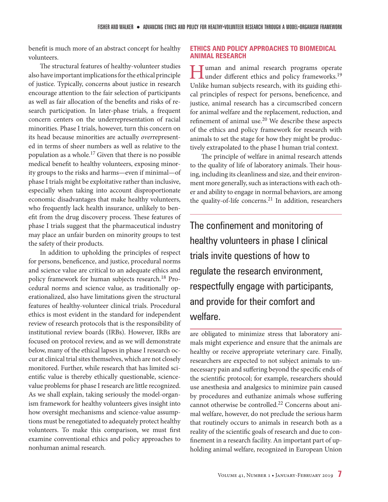benefit is much more of an abstract concept for healthy volunteers.

The structural features of healthy-volunteer studies also have important implications for the ethical principle of justice. Typically, concerns about justice in research encourage attention to the fair selection of participants as well as fair allocation of the benefits and risks of research participation. In later-phase trials, a frequent concern centers on the underrepresentation of racial minorities. Phase I trials, however, turn this concern on its head because minorities are actually *over*represented in terms of sheer numbers as well as relative to the population as a whole.17 Given that there is no possible medical benefit to healthy volunteers, exposing minority groups to the risks and harms—even if minimal—of phase I trials might be exploitative rather than inclusive, especially when taking into account disproportionate economic disadvantages that make healthy volunteers, who frequently lack health insurance, unlikely to benefit from the drug discovery process. These features of phase I trials suggest that the pharmaceutical industry may place an unfair burden on minority groups to test the safety of their products.

In addition to upholding the principles of respect for persons, beneficence, and justice, procedural norms and science value are critical to an adequate ethics and policy framework for human subjects research.<sup>18</sup> Procedural norms and science value, as traditionally operationalized, also have limitations given the structural features of healthy-volunteer clinical trials. Procedural ethics is most evident in the standard for independent review of research protocols that is the responsibility of institutional review boards (IRBs). However, IRBs are focused on protocol review, and as we will demonstrate below, many of the ethical lapses in phase I research occur at clinical trial sites themselves, which are not closely monitored. Further, while research that has limited scientific value is thereby ethically questionable, sciencevalue problems for phase I research are little recognized. As we shall explain, taking seriously the model-organism framework for healthy volunteers gives insight into how oversight mechanisms and science-value assumptions must be renegotiated to adequately protect healthy volunteers. To make this comparison, we must first examine conventional ethics and policy approaches to nonhuman animal research.

## **ETHICS AND POLICY APPROACHES TO BIOMEDICAL ANIMAL RESEARCH**

I Juman and animal research programs operate<br>
under different ethics and policy frameworks.<sup>19</sup> Unlike human subjects research, with its guiding ethical principles of respect for persons, beneficence, and justice, animal research has a circumscribed concern for animal welfare and the replacement, reduction, and refinement of animal use.20 We describe these aspects of the ethics and policy framework for research with animals to set the stage for how they might be productively extrapolated to the phase I human trial context.

The principle of welfare in animal research attends to the quality of life of laboratory animals. Their housing, including its cleanliness and size, and their environment more generally, such as interactions with each other and ability to engage in normal behaviors, are among the quality-of-life concerns.21 In addition, researchers

The confinement and monitoring of healthy volunteers in phase I clinical trials invite questions of how to regulate the research environment, respectfully engage with participants, and provide for their comfort and welfare.

are obligated to minimize stress that laboratory animals might experience and ensure that the animals are healthy or receive appropriate veterinary care. Finally, researchers are expected to not subject animals to unnecessary pain and suffering beyond the specific ends of the scientific protocol; for example, researchers should use anesthesia and analgesics to minimize pain caused by procedures and euthanize animals whose suffering cannot otherwise be controlled.<sup>22</sup> Concerns about animal welfare, however, do not preclude the serious harm that routinely occurs to animals in research both as a reality of the scientific goals of research and due to confinement in a research facility. An important part of upholding animal welfare, recognized in European Union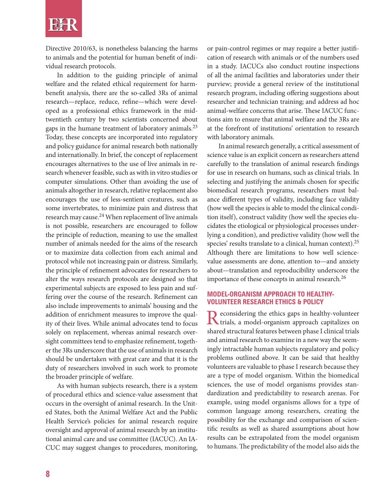

Directive 2010/63, is nonetheless balancing the harms to animals and the potential for human benefit of individual research protocols.

In addition to the guiding principle of animal welfare and the related ethical requirement for harmbenefit analysis, there are the so-called 3Rs of animal research—replace, reduce, refine—which were developed as a professional ethics framework in the midtwentieth century by two scientists concerned about gaps in the humane treatment of laboratory animals.23 Today, these concepts are incorporated into regulatory and policy guidance for animal research both nationally and internationally. In brief, the concept of replacement encourages alternatives to the use of live animals in research whenever feasible, such as with in vitro studies or computer simulations. Other than avoiding the use of animals altogether in research, relative replacement also encourages the use of less-sentient creatures, such as some invertebrates, to minimize pain and distress that research may cause.24 When replacement of live animals is not possible, researchers are encouraged to follow the principle of reduction, meaning to use the smallest number of animals needed for the aims of the research or to maximize data collection from each animal and protocol while not increasing pain or distress. Similarly, the principle of refinement advocates for researchers to alter the ways research protocols are designed so that experimental subjects are exposed to less pain and suffering over the course of the research. Refinement can also include improvements to animals' housing and the addition of enrichment measures to improve the quality of their lives. While animal advocates tend to focus solely on replacement, whereas animal research oversight committees tend to emphasize refinement, together the 3Rs underscore that the use of animals in research should be undertaken with great care and that it is the duty of researchers involved in such work to promote the broader principle of welfare.

As with human subjects research, there is a system of procedural ethics and science-value assessment that occurs in the oversight of animal research. In the United States, both the Animal Welfare Act and the Public Health Service's policies for animal research require oversight and approval of animal research by an institutional animal care and use committee (IACUC). An IA-CUC may suggest changes to procedures, monitoring, or pain-control regimes or may require a better justification of research with animals or of the numbers used in a study. IACUCs also conduct routine inspections of all the animal facilities and laboratories under their purview; provide a general review of the institutional research program, including offering suggestions about researcher and technician training; and address ad hoc animal-welfare concerns that arise. These IACUC functions aim to ensure that animal welfare and the 3Rs are at the forefront of institutions' orientation to research with laboratory animals.

In animal research generally, a critical assessment of science value is an explicit concern as researchers attend carefully to the translation of animal research findings for use in research on humans, such as clinical trials. In selecting and justifying the animals chosen for specific biomedical research programs, researchers must balance different types of validity, including face validity (how well the species is able to model the clinical condition itself), construct validity (how well the species elucidates the etiological or physiological processes underlying a condition), and predictive validity (how well the species' results translate to a clinical, human context).<sup>25</sup> Although there are limitations to how well sciencevalue assessments are done, attention to—and anxiety about—translation and reproducibility underscore the importance of these concepts in animal research.<sup>26</sup>

# **MODEL-ORGANISM APPROACH TO HEALTHY-VOLUNTEER RESEARCH ETHICS & POLICY**

Reconsidering the ethics gaps in healthy-volunteer<br>trials, a model-organism approach capitalizes on shared structural features between phase I clinical trials and animal research to examine in a new way the seemingly intractable human subjects regulatory and policy problems outlined above. It can be said that healthy volunteers are valuable to phase I research because they are a type of model organism. Within the biomedical sciences, the use of model organisms provides standardization and predictability to research arenas. For example, using model organisms allows for a type of common language among researchers, creating the possibility for the exchange and comparison of scientific results as well as shared assumptions about how results can be extrapolated from the model organism to humans. The predictability of the model also aids the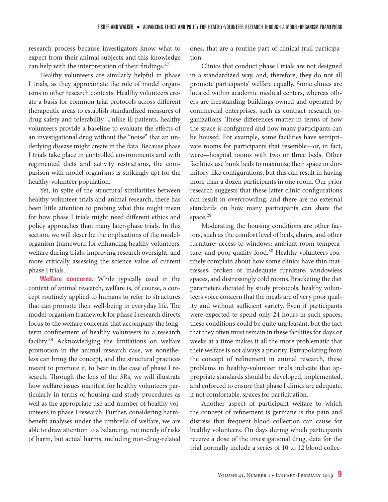research process because investigators know what to expect from their animal subjects and this knowledge can help with the interpretation of their findings. $27$ 

Healthy volunteers are similarly helpful in phase I trials, as they approximate the role of model organisms in other research contexts. Healthy volunteers create a basis for common trial protocols across different therapeutic areas to establish standardized measures of drug safety and tolerability. Unlike ill patients, healthy volunteers provide a baseline to evaluate the effects of an investigational drug without the "noise" that an underlying disease might create in the data. Because phase I trials take place in controlled environments and with regimented diets and activity restrictions, the comparison with model organisms is strikingly apt for the healthy-volunteer population.

Yet, in spite of the structural similarities between healthy-volunteer trials and animal research, there has been little attention to probing what this might mean for how phase I trials might need different ethics and policy approaches than many later-phase trials. In this section, we will describe the implications of the modelorganism framework for enhancing healthy volunteers' welfare during trials, improving research oversight, and more critically assessing the science value of current phase I trials.

**Welfare concerns.** While typically used in the context of animal research, welfare is, of course, a concept routinely applied to humans to refer to structures that can promote their well-being in everyday life. The model-organism framework for phase I research directs focus to the welfare concerns that accompany the longterm confinement of healthy volunteers to a research facility.28 Acknowledging the limitations on welfare promotion in the animal research case, we nonetheless can bring the concept, and the structural practices meant to promote it, to bear in the case of phase I research. Through the lens of the 3Rs, we will illustrate how welfare issues manifest for healthy volunteers particularly in terms of housing and study procedures as well as the appropriate use and number of healthy volunteers in phase I research. Further, considering harmbenefit analyses under the umbrella of welfare, we are able to draw attention to a balancing, not merely of risks of harm, but actual harms, including non-drug-related

ones, that are a routine part of clinical trial participation.

Clinics that conduct phase I trials are not designed in a standardized way, and, therefore, they do not all promote participants' welfare equally. Some clinics are located within academic medical centers, whereas others are freestanding buildings owned and operated by commercial enterprises, such as contract research organizations. These differences matter in terms of how the space is configured and how many participants can be housed. For example, some facilities have semiprivate rooms for participants that resemble—or, in fact, were—hospital rooms with two or three beds. Other facilities use bunk beds to maximize their space in dormitory-like configurations, but this can result in having more than a dozen participants in one room. Our prior research suggests that these latter clinic configurations can result in overcrowding, and there are no external standards on how many participants can share the space.<sup>29</sup>

Moderating the housing conditions are other factors, such as the comfort level of beds, chairs, and other furniture; access to windows; ambient room temperature; and poor-quality food.<sup>30</sup> Healthy volunteers routinely complain about how some clinics have thin mattresses, broken or inadequate furniture, windowless spaces, and distressingly cold rooms. Bracketing the diet parameters dictated by study protocols, healthy volunteers voice concern that the meals are of very poor quality and without sufficient variety. Even if participants were expected to spend only 24 hours in such spaces, these conditions could be quite unpleasant, but the fact that they often must remain in these facilities for days or weeks at a time makes it all the more problematic that their welfare is not always a priority. Extrapolating from the concept of refinement in animal research, these problems in healthy-volunteer trials indicate that appropriate standards should be developed, implemented, and enforced to ensure that phase I clinics are adequate, if not comfortable, spaces for participation.

Another aspect of participant welfare to which the concept of refinement is germane is the pain and distress that frequent blood collection can cause for healthy volunteers. On days during which participants receive a dose of the investigational drug, data for the trial normally include a series of 10 to 12 blood collec-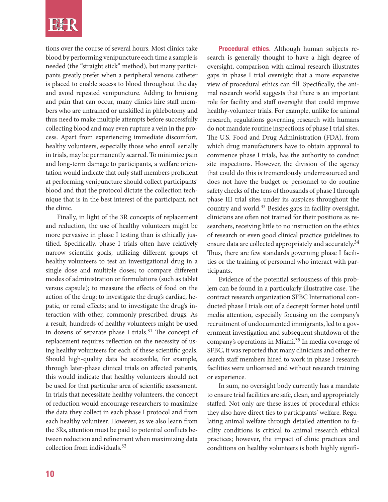

tions over the course of several hours. Most clinics take blood by performing venipuncture each time a sample is needed (the "straight stick" method), but many participants greatly prefer when a peripheral venous catheter is placed to enable access to blood throughout the day and avoid repeated venipuncture. Adding to bruising and pain that can occur, many clinics hire staff members who are untrained or unskilled in phlebotomy and thus need to make multiple attempts before successfully collecting blood and may even rupture a vein in the process. Apart from experiencing immediate discomfort, healthy volunteers, especially those who enroll serially in trials, may be permanently scarred. To minimize pain and long-term damage to participants, a welfare orientation would indicate that only staff members proficient at performing venipuncture should collect participants' blood and that the protocol dictate the collection technique that is in the best interest of the participant, not the clinic.

Finally, in light of the 3R concepts of replacement and reduction, the use of healthy volunteers might be more pervasive in phase I testing than is ethically justified. Specifically, phase I trials often have relatively narrow scientific goals, utilizing different groups of healthy volunteers to test an investigational drug in a single dose and multiple doses; to compare different modes of administration or formulations (such as tablet versus capsule); to measure the effects of food on the action of the drug; to investigate the drug's cardiac, hepatic, or renal effects; and to investigate the drug's interaction with other, commonly prescribed drugs. As a result, hundreds of healthy volunteers might be used in dozens of separate phase I trials.<sup>31</sup> The concept of replacement requires reflection on the necessity of using healthy volunteers for each of these scientific goals. Should high-quality data be accessible, for example, through later-phase clinical trials on affected patients, this would indicate that healthy volunteers should not be used for that particular area of scientific assessment. In trials that necessitate healthy volunteers, the concept of reduction would encourage researchers to maximize the data they collect in each phase I protocol and from each healthy volunteer. However, as we also learn from the 3Rs, attention must be paid to potential conflicts between reduction and refinement when maximizing data collection from individuals.32

**Procedural ethics.** Although human subjects research is generally thought to have a high degree of oversight, comparison with animal research illustrates gaps in phase I trial oversight that a more expansive view of procedural ethics can fill. Specifically, the animal research world suggests that there is an important role for facility and staff oversight that could improve healthy-volunteer trials. For example, unlike for animal research, regulations governing research with humans do not mandate routine inspections of phase I trial sites. The U.S. Food and Drug Administration (FDA), from which drug manufacturers have to obtain approval to commence phase I trials, has the authority to conduct site inspections. However, the division of the agency that could do this is tremendously underresourced and does not have the budget or personnel to do routine safety checks of the tens of thousands of phase I through phase III trial sites under its auspices throughout the country and world.33 Besides gaps in facility oversight, clinicians are often not trained for their positions as researchers, receiving little to no instruction on the ethics of research or even good clinical practice guidelines to ensure data are collected appropriately and accurately.<sup>34</sup> Thus, there are few standards governing phase I facilities or the training of personnel who interact with participants.

Evidence of the potential seriousness of this problem can be found in a particularly illustrative case. The contract research organization SFBC International conducted phase I trials out of a decrepit former hotel until media attention, especially focusing on the company's recruitment of undocumented immigrants, led to a government investigation and subsequent shutdown of the company's operations in Miami.35 In media coverage of SFBC, it was reported that many clinicians and other research staff members hired to work in phase I research facilities were unlicensed and without research training or experience.

In sum, no oversight body currently has a mandate to ensure trial facilities are safe, clean, and appropriately staffed. Not only are these issues of procedural ethics; they also have direct ties to participants' welfare. Regulating animal welfare through detailed attention to facility conditions is critical to animal research ethical practices; however, the impact of clinic practices and conditions on healthy volunteers is both highly signifi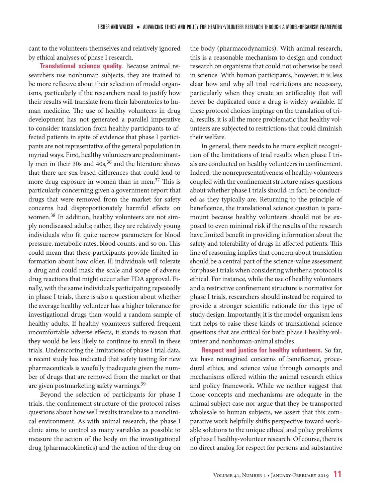cant to the volunteers themselves and relatively ignored by ethical analyses of phase I research.

**Translational science quality.** Because animal researchers use nonhuman subjects, they are trained to be more reflexive about their selection of model organisms, particularly if the researchers need to justify how their results will translate from their laboratories to human medicine. The use of healthy volunteers in drug development has not generated a parallel imperative to consider translation from healthy participants to affected patients in spite of evidence that phase I participants are not representative of the general population in myriad ways. First, healthy volunteers are predominantly men in their 30s and 40s,<sup>36</sup> and the literature shows that there are sex-based differences that could lead to more drug exposure in women than in men.<sup>37</sup> This is particularly concerning given a government report that drugs that were removed from the market for safety concerns had disproportionately harmful effects on women.38 In addition, healthy volunteers are not simply nondiseased adults; rather, they are relatively young individuals who fit quite narrow parameters for blood pressure, metabolic rates, blood counts, and so on. This could mean that these participants provide limited information about how older, ill individuals will tolerate a drug and could mask the scale and scope of adverse drug reactions that might occur after FDA approval. Finally, with the same individuals participating repeatedly in phase I trials, there is also a question about whether the average healthy volunteer has a higher tolerance for investigational drugs than would a random sample of healthy adults. If healthy volunteers suffered frequent uncomfortable adverse effects, it stands to reason that they would be less likely to continue to enroll in these trials. Underscoring the limitations of phase I trial data, a recent study has indicated that safety testing for new pharmaceuticals is woefully inadequate given the number of drugs that are removed from the market or that are given postmarketing safety warnings.<sup>39</sup>

Beyond the selection of participants for phase I trials, the confinement structure of the protocol raises questions about how well results translate to a nonclinical environment. As with animal research, the phase I clinic aims to control as many variables as possible to measure the action of the body on the investigational drug (pharmacokinetics) and the action of the drug on the body (pharmacodynamics). With animal research, this is a reasonable mechanism to design and conduct research on organisms that could not otherwise be used in science. With human participants, however, it is less clear how and why all trial restrictions are necessary, particularly when they create an artificiality that will never be duplicated once a drug is widely available. If these protocol choices impinge on the translation of trial results, it is all the more problematic that healthy volunteers are subjected to restrictions that could diminish their welfare.

In general, there needs to be more explicit recognition of the limitations of trial results when phase I trials are conducted on healthy volunteers in confinement. Indeed, the nonrepresentativeness of healthy volunteers coupled with the confinement structure raises questions about whether phase I trials should, in fact, be conducted as they typically are. Returning to the principle of beneficence, the translational science question is paramount because healthy volunteers should not be exposed to even minimal risk if the results of the research have limited benefit in providing information about the safety and tolerability of drugs in affected patients. This line of reasoning implies that concern about translation should be a central part of the science-value assessment for phase I trials when considering whether a protocol is ethical. For instance, while the use of healthy volunteers and a restrictive confinement structure is normative for phase I trials, researchers should instead be required to provide a stronger scientific rationale for this type of study design. Importantly, it is the model-organism lens that helps to raise these kinds of translational science questions that are critical for both phase I healthy-volunteer and nonhuman-animal studies.

**Respect and justice for healthy volunteers.** So far, we have reimagined concerns of beneficence, procedural ethics, and science value through concepts and mechanisms offered within the animal research ethics and policy framework. While we neither suggest that those concepts and mechanisms are adequate in the animal subject case nor argue that they be transported wholesale to human subjects, we assert that this comparative work helpfully shifts perspective toward workable solutions to the unique ethical and policy problems of phase I healthy-volunteer research. Of course, there is no direct analog for respect for persons and substantive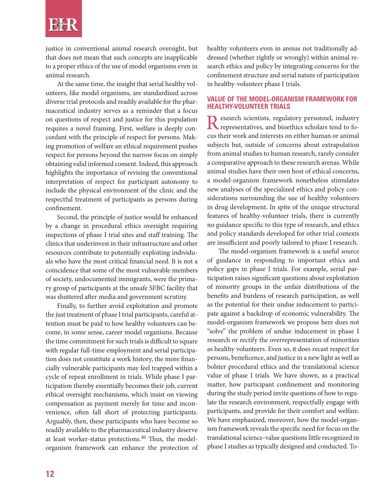

justice in conventional animal research oversight, but that does not mean that such concepts are inapplicable to a proper ethics of the use of model organisms even in animal research.

At the same time, the insight that serial healthy volunteers, like model organisms, are standardized across diverse trial protocols and readily available for the pharmaceutical industry serves as a reminder that a focus on questions of respect and justice for this population requires a novel framing. First, welfare is deeply concordant with the principle of respect for persons. Making promotion of welfare an ethical requirement pushes respect for persons beyond the narrow focus on simply obtaining valid informed consent. Indeed, this approach highlights the importance of revising the conventional interpretation of respect for participant autonomy to include the physical environment of the clinic and the respectful treatment of participants as persons during confinement.

Second, the principle of justice would be enhanced by a change in procedural ethics oversight requiring inspections of phase I trial sites and staff training. The clinics that underinvest in their infrastructure and other resources contribute to potentially exploiting individuals who have the most critical financial need. It is not a coincidence that some of the most vulnerable members of society, undocumented immigrants, were the primary group of participants at the unsafe SFBC facility that was shuttered after media and government scrutiny.

Finally, to further avoid exploitation and promote the just treatment of phase I trial participants, careful attention must be paid to how healthy volunteers can become, in some sense, career model organisms. Because the time commitment for such trials is difficult to square with regular full-time employment and serial participation does not constitute a work history, the more financially vulnerable participants may feel trapped within a cycle of repeat enrollment in trials. While phase I participation thereby essentially becomes their job, current ethical oversight mechanisms, which insist on viewing compensation as payment merely for time and inconvenience, often fall short of protecting participants. Arguably, then, these participants who have become so readily available to the pharmaceutical industry deserve at least worker-status protections.40 Thus, the modelorganism framework can enhance the protection of healthy volunteers even in arenas not traditionally addressed (whether rightly or wrongly) within animal research ethics and policy by integrating concerns for the confinement structure and serial nature of participation in healthy-volunteer phase I trials.

# **VALUE OF THE MODEL-ORGANISM FRAMEWORK FOR HEALTHY-VOLUNTEER TRIALS**

**Research scientists, regulatory personnel, industry Representatives, and bioethics scholars tend to fo**cus their work and interests on either human or animal subjects but, outside of concerns about extrapolation from animal studies to human research, rarely consider a comparative approach to these research arenas. While animal studies have their own host of ethical concerns, a model-organism framework nonetheless stimulates new analyses of the specialized ethics and policy considerations surrounding the use of healthy volunteers in drug development. In spite of the unique structural features of healthy-volunteer trials, there is currently no guidance specific to this type of research, and ethics and policy standards developed for other trial contexts are insufficient and poorly tailored to phase I research.

The model-organism framework is a useful source of guidance in responding to important ethics and policy gaps in phase I trials. For example, serial participation raises significant questions about exploitation of minority groups in the unfair distributions of the benefits and burdens of research participation, as well as the potential for their undue inducement to participate against a backdrop of economic vulnerability. The model-organism framework we propose here does not "solve" the problem of undue inducement in phase I research or rectify the overrepresentation of minorities as healthy volunteers. Even so, it does recast respect for persons, beneficence, and justice in a new light as well as bolster procedural ethics and the translational science value of phase I trials. We have shown, as a practical matter, how participant confinement and monitoring during the study period invite questions of how to regulate the research environment, respectfully engage with participants, and provide for their comfort and welfare. We have emphasized, moreover, how the model-organism framework reveals the specific need for focus on the translational science-value questions little recognized in phase I studies as typically designed and conducted. To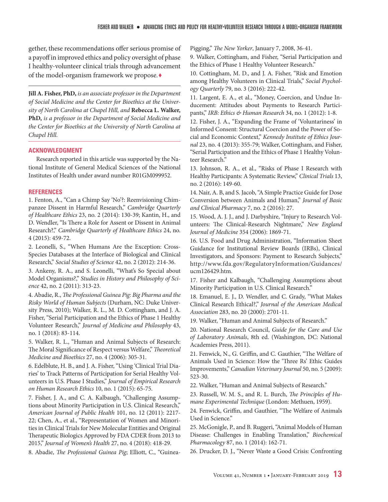gether, these recommendations offer serious promise of a payoff in improved ethics and policy oversight of phase I healthy-volunteer clinical trials through advancement of the model-organism framework we propose.

**Jill A. Fisher, PhD,** *is an associate professor in the Department of Social Medicine and the Center for Bioethics at the University of North Carolina at Chapel Hill, and* **Rebecca L. Walker, PhD,** *is a professor in the Department of Social Medicine and the Center for Bioethics at the University of North Carolina at Chapel Hill.*

#### **ACKNOWLEDGMENT**

Research reported in this article was supported by the National Institute of General Medical Sciences of the National Institutes of Health under award number R01GM099952.

#### **REFERENCES**

1. Fenton, A., "Can a Chimp Say 'No'?: Reenvisioning Chimpanzee Dissent in Harmful Research," *Cambridge Quarterly of Healthcare Ethics* 23, no. 2 (2014): 130-39; Kantin, H., and D. Wendler, "Is There a Role for Assent or Dissent in Animal Research?," *Cambridge Quarterly of Healthcare Ethics* 24, no. 4 (2015): 459-72.

2. Leonelli, S., "When Humans Are the Exception: Cross-Species Databases at the Interface of Biological and Clinical Research," *Social Studies of Science* 42, no. 2 (2012): 214-36.

3. Ankeny, R. A., and S. Leonelli, "What's So Special about Model Organisms?," *Studies in History and Philosophy of Science* 42, no. 2 (2011): 313-23.

4. Abadie, R., *The Professional Guinea Pig: Big Pharma and the Risky World of Human Subjects* (Durham, NC: Duke University Press, 2010); Walker, R. L., M. D. Cottingham, and J. A. Fisher, "Serial Participation and the Ethics of Phase 1 Healthy Volunteer Research," *Journal of Medicine and Philosophy* 43, no. 1 (2018): 83-114.

5. Walker, R. L., "Human and Animal Subjects of Research: The Moral Significance of Respect versus Welfare," *Theoretical Medicine and Bioethics* 27, no. 4 (2006): 305-31.

6. Edelblute, H. B., and J. A. Fisher, "Using 'Clinical Trial Diaries' to Track Patterns of Participation for Serial Healthy Volunteers in U.S. Phase I Studies," *Journal of Empirical Research on Human Research Ethics* 10, no. 1 (2015): 65-75.

7. Fisher, J. A., and C. A. Kalbaugh, "Challenging Assumptions about Minority Participation in U.S. Clinical Research," *American Journal of Public Health* 101, no. 12 (2011): 2217- 22; Chen, A., et al., "Representation of Women and Minorities in Clinical Trials for New Molecular Entities and Original Therapeutic Biologics Approved by FDA CDER from 2013 to 2015," *Journal of Women's Health* 27, no. 4 (2018): 418-29.

8. Abadie, *The Professional Guinea Pig*; Elliott, C., "Guinea-

Pigging," *The New Yorker*, January 7, 2008, 36-41.

9. Walker, Cottingham, and Fisher, "Serial Participation and the Ethics of Phase 1 Healthy Volunteer Research."

10. Cottingham, M. D., and J. A. Fisher, "Risk and Emotion among Healthy Volunteers in Clinical Trials," *Social Psychology Quarterly* 79, no. 3 (2016): 222-42.

11. Largent, E. A., et al., "Money, Coercion, and Undue Inducement: Attitudes about Payments to Research Participants," *IRB: Ethics & Human Research* 34, no. 1 (2012): 1-8.

12. Fisher, J. A., "Expanding the Frame of 'Voluntariness' in Informed Consent: Structural Coercion and the Power of Social and Economic Context," *Kennedy Institute of Ethics Journal* 23, no. 4 (2013): 355-79; Walker, Cottingham, and Fisher, "Serial Participation and the Ethics of Phase 1 Healthy Volunteer Research."

13. Johnson, R. A., et al., "Risks of Phase I Research with Healthy Participants: A Systematic Review," *Clinical Trials* 13, no. 2 (2016): 149-60.

14. Nair, A. B, and S. Jacob, "A Simple Practice Guide for Dose Conversion between Animals and Human," *Journal of Basic and Clinical Pharmacy* 7, no. 2 (2016): 27.

15. Wood, A. J. J., and J. Darbyshire, "Injury to Research Volunteers: The Clinical-Research Nightmare," *New England Journal of Medicine* 354 (2006): 1869-71.

16. U.S. Food and Drug Administration, "Information Sheet Guidance for Institutional Review Boards (IRBs), Clinical Investigators, and Sponsors: Payment to Research Subjects," http://www.fda.gov/RegulatoryInformation/Guidances/ ucm126429.htm.

17. Fisher and Kalbaugh, "Challenging Assumptions about Minority Participation in U.S. Clinical Research."

18. Emanuel, E. J., D. Wendler, and C. Grady, "What Makes Clinical Research Ethical?," *Journal of the American Medical Association* 283, no. 20 (2000): 2701-11.

19. Walker, "Human and Animal Subjects of Research."

20. National Research Council, *Guide for the Care and Use of Laboratory Animals*, 8th ed. (Washington, DC: National Academies Press, 2011).

21. Fenwick, N., G. Griffin, and C. Gauthier, "The Welfare of Animals Used in Science: How the 'Three Rs' Ethic Guides Improvements," *Canadian Veterinary Journal* 50, no. 5 (2009): 523-30.

22. Walker, "Human and Animal Subjects of Research."

23. Russell, W. M. S., and R. L. Burch, *The Principles of Humane Experimental Technique* (London: Methuen, 1959).

24. Fenwick, Griffin, and Gauthier, "The Welfare of Animals Used in Science."

25. McGonigle, P., and B. Ruggeri, "Animal Models of Human Disease: Challenges in Enabling Translation," *Biochemical Pharmacology* 87, no. 1 (2014): 162-71.

26. Drucker, D. J., "Never Waste a Good Crisis: Confronting